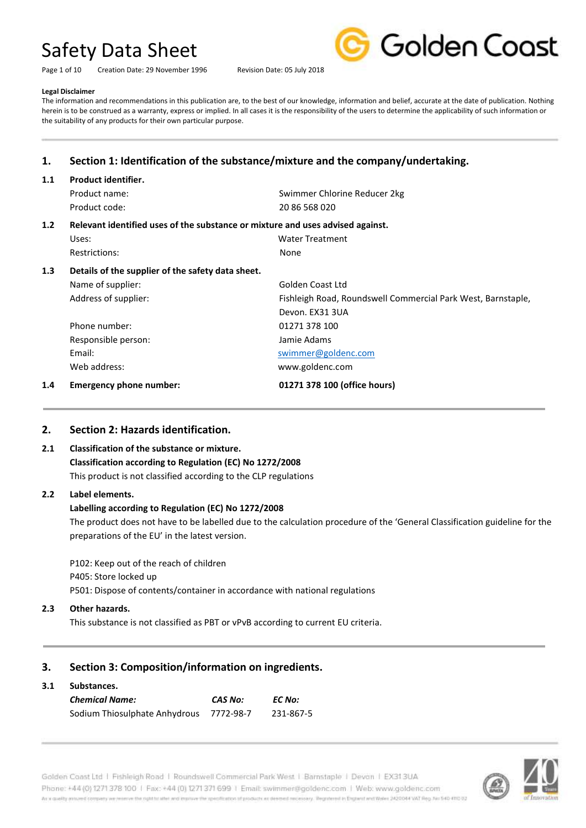Page 1 of 10 Creation Date: 29 November 1996 Revision Date: 05 July 2018



#### **Legal Disclaimer**

The information and recommendations in this publication are, to the best of our knowledge, information and belief, accurate at the date of publication. Nothing herein is to be construed as a warranty, express or implied. In all cases it is the responsibility of the users to determine the applicability of such information or the suitability of any products for their own particular purpose.

## **1. Section 1: Identification of the substance/mixture and the company/undertaking.**

| 1.1 | <b>Product identifier.</b>                                                     |                                                              |
|-----|--------------------------------------------------------------------------------|--------------------------------------------------------------|
|     | Product name:                                                                  | Swimmer Chlorine Reducer 2kg                                 |
|     | Product code:                                                                  | 20 86 568 020                                                |
| 1.2 | Relevant identified uses of the substance or mixture and uses advised against. |                                                              |
|     | Uses:                                                                          | <b>Water Treatment</b>                                       |
|     | Restrictions:                                                                  | None                                                         |
| 1.3 | Details of the supplier of the safety data sheet.                              |                                                              |
|     | Name of supplier:                                                              | Golden Coast Ltd                                             |
|     | Address of supplier:                                                           | Fishleigh Road, Roundswell Commercial Park West, Barnstaple, |
|     |                                                                                | Devon. EX31 3UA                                              |
|     | Phone number:                                                                  | 01271 378 100                                                |
|     | Responsible person:                                                            | Jamie Adams                                                  |
|     | Email:                                                                         | swimmer@goldenc.com                                          |
|     | Web address:                                                                   | www.goldenc.com                                              |
| 1.4 | <b>Emergency phone number:</b>                                                 | 01271 378 100 (office hours)                                 |

## **2. Section 2: Hazards identification.**

#### **2.1 Classification of the substance or mixture.**

**Classification according to Regulation (EC) No 1272/2008** This product is not classified according to the CLP regulations

#### **2.2 Label elements.**

#### **Labelling according to Regulation (EC) No 1272/2008**

The product does not have to be labelled due to the calculation procedure of the 'General Classification guideline for the preparations of the EU' in the latest version.

P102: Keep out of the reach of children P405: Store locked up P501: Dispose of contents/container in accordance with national regulations

**2.3 Other hazards.**

This substance is not classified as PBT or vPvB according to current EU criteria.

## **3. Section 3: Composition/information on ingredients.**

#### **3.1 Substances.**

| <b>Chemical Name:</b>         | CAS No:   | EC No:    |
|-------------------------------|-----------|-----------|
| Sodium Thiosulphate Anhydrous | 7772-98-7 | 231-867-5 |

Golden Coast Ltd | Fishleigh Road | Roundswell Commercial Park West | Barnstaple | Devon | EX313UA Phone: +44 (0) 1271 378 100 | Fax: +44 (0) 1271 371 699 | Email: swimmer@goldenc.com | Web: www.goldenc.com As a quality annumel company we renewe the right to aller wid improve the specification of products as deemed recessory. Registered in England and Wales 2420044 VAT Reg. No 540-410 02

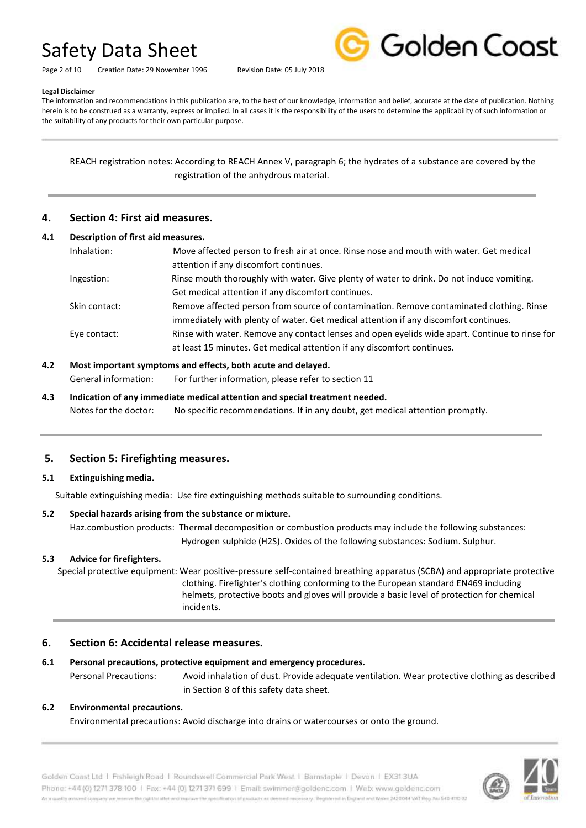Page 2 of 10 Creation Date: 29 November 1996 Revision Date: 05 July 2018



## **Legal Disclaimer**

The information and recommendations in this publication are, to the best of our knowledge, information and belief, accurate at the date of publication. Nothing herein is to be construed as a warranty, express or implied. In all cases it is the responsibility of the users to determine the applicability of such information or the suitability of any products for their own particular purpose.

REACH registration notes: According to REACH Annex V, paragraph 6; the hydrates of a substance are covered by the registration of the anhydrous material.

## **4. Section 4: First aid measures.**

| 4.1 | Description of first aid measures. |                                                                                                |
|-----|------------------------------------|------------------------------------------------------------------------------------------------|
|     | Inhalation:                        | Move affected person to fresh air at once. Rinse nose and mouth with water. Get medical        |
|     |                                    | attention if any discomfort continues.                                                         |
|     | Ingestion:                         | Rinse mouth thoroughly with water. Give plenty of water to drink. Do not induce vomiting.      |
|     |                                    | Get medical attention if any discomfort continues.                                             |
|     | Skin contact:                      | Remove affected person from source of contamination. Remove contaminated clothing. Rinse       |
|     |                                    | immediately with plenty of water. Get medical attention if any discomfort continues.           |
|     | Eye contact:                       | Rinse with water. Remove any contact lenses and open eyelids wide apart. Continue to rinse for |
|     |                                    | at least 15 minutes. Get medical attention if any discomfort continues.                        |
| 4.2 |                                    | Most important symptoms and effects, both acute and delayed.                                   |

General information: For further information, please refer to section 11

**4.3 Indication of any immediate medical attention and special treatment needed.** Notes for the doctor: No specific recommendations. If in any doubt, get medical attention promptly.

## **5. Section 5: Firefighting measures.**

## **5.1 Extinguishing media.**

Suitable extinguishing media: Use fire extinguishing methods suitable to surrounding conditions.

## **5.2 Special hazards arising from the substance or mixture.**

Haz.combustion products: Thermal decomposition or combustion products may include the following substances: Hydrogen sulphide (H2S). Oxides of the following substances: Sodium. Sulphur.

## **5.3 Advice for firefighters.**

 Special protective equipment: Wear positive-pressure self-contained breathing apparatus (SCBA) and appropriate protective clothing. Firefighter's clothing conforming to the European standard EN469 including helmets, protective boots and gloves will provide a basic level of protection for chemical incidents.

## **6. Section 6: Accidental release measures.**

## **6.1 Personal precautions, protective equipment and emergency procedures.**

Personal Precautions: Avoid inhalation of dust. Provide adequate ventilation. Wear protective clothing as described in Section 8 of this safety data sheet.

## **6.2 Environmental precautions.**

Environmental precautions: Avoid discharge into drains or watercourses or onto the ground.

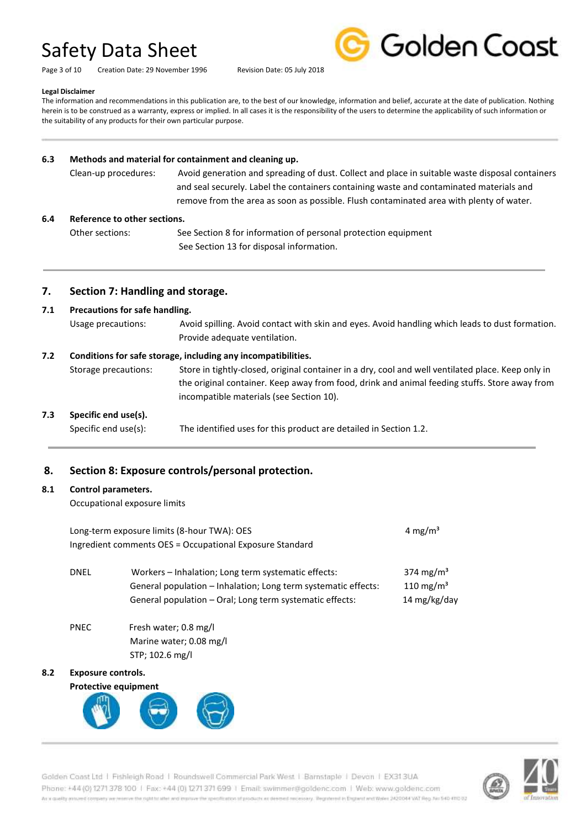Page 3 of 10 Creation Date: 29 November 1996 Revision Date: 05 July 2018



#### **Legal Disclaimer**

The information and recommendations in this publication are, to the best of our knowledge, information and belief, accurate at the date of publication. Nothing herein is to be construed as a warranty, express or implied. In all cases it is the responsibility of the users to determine the applicability of such information or the suitability of any products for their own particular purpose.

#### **6.3 Methods and material for containment and cleaning up.**

| Clean-up procedures: | Avoid generation and spreading of dust. Collect and place in suitable waste disposal containers |
|----------------------|-------------------------------------------------------------------------------------------------|
|                      | and seal securely. Label the containers containing waste and contaminated materials and         |
|                      | remove from the area as soon as possible. Flush contaminated area with plenty of water.         |

#### **6.4 Reference to other sections.**

Other sections: See Section 8 for information of personal protection equipment See Section 13 for disposal information.

### **7. Section 7: Handling and storage.**

### **7.1 Precautions for safe handling.**

Usage precautions: Avoid spilling. Avoid contact with skin and eyes. Avoid handling which leads to dust formation. Provide adequate ventilation.

#### **7.2 Conditions for safe storage, including any incompatibilities.**

Storage precautions: Store in tightly-closed, original container in a dry, cool and well ventilated place. Keep only in the original container. Keep away from food, drink and animal feeding stuffs. Store away from incompatible materials (see Section 10).

## **7.3 Specific end use(s).**

Specific end use(s): The identified uses for this product are detailed in Section 1.2.

## **8. Section 8: Exposure controls/personal protection.**

#### **8.1 Control parameters.**

Occupational exposure limits

| Long-term exposure limits (8-hour TWA): OES<br>4 mg/m <sup>3</sup><br>Ingredient comments OES = Occupational Exposure Standard |                                                                                                                                                                                   |                                                                |
|--------------------------------------------------------------------------------------------------------------------------------|-----------------------------------------------------------------------------------------------------------------------------------------------------------------------------------|----------------------------------------------------------------|
| <b>DNEL</b>                                                                                                                    | Workers - Inhalation; Long term systematic effects:<br>General population - Inhalation; Long term systematic effects:<br>General population – Oral; Long term systematic effects: | 374 mg/m <sup>3</sup><br>110 mg/m <sup>3</sup><br>14 mg/kg/day |
| <b>PNEC</b>                                                                                                                    | Fresh water; 0.8 mg/l                                                                                                                                                             |                                                                |

 Marine water; 0.08 mg/l STP; 102.6 mg/l

## **8.2 Exposure controls.**



Golden Coast Ltd | Fishleigh Road | Roundswell Commercial Park West | Barnstaple | Devon | EX31.3UA Phone: +44 (0) 1271 378 100 | Fax: +44 (0) 1271 371 699 | Email: swimmer@goldenc.com | Web: www.goldenc.com As a quality annumel company we renewe the right to aller wid improve the specification of products as deemed recessory. Registered in England and Wales 2420044 VAT Reg. No 540-410 02

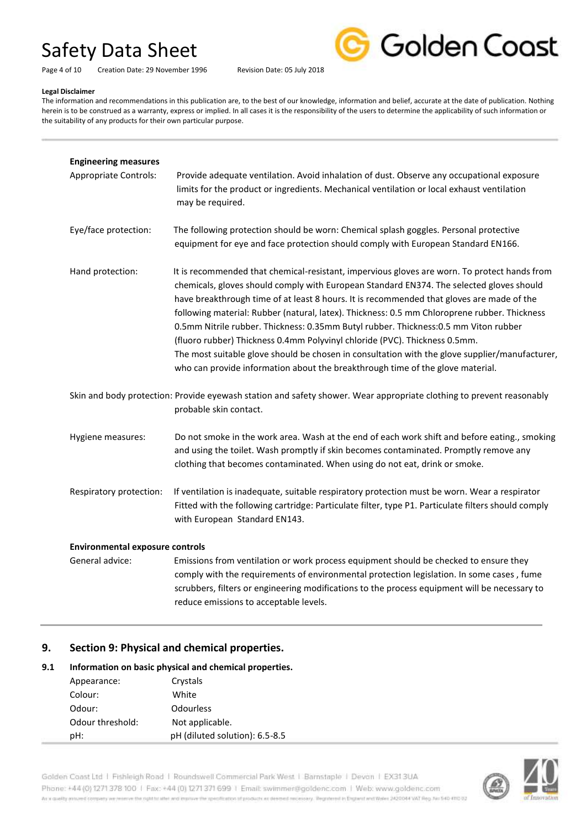

Page 4 of 10 Creation Date: 29 November 1996 Revision Date: 05 July 2018

#### **Legal Disclaimer**

The information and recommendations in this publication are, to the best of our knowledge, information and belief, accurate at the date of publication. Nothing herein is to be construed as a warranty, express or implied. In all cases it is the responsibility of the users to determine the applicability of such information or the suitability of any products for their own particular purpose.

| <b>Engineering measures</b><br><b>Appropriate Controls:</b> | Provide adequate ventilation. Avoid inhalation of dust. Observe any occupational exposure<br>limits for the product or ingredients. Mechanical ventilation or local exhaust ventilation<br>may be required.                                                                                                                                                                                                                                                                                                                                                                                                                                                                                                                                     |
|-------------------------------------------------------------|-------------------------------------------------------------------------------------------------------------------------------------------------------------------------------------------------------------------------------------------------------------------------------------------------------------------------------------------------------------------------------------------------------------------------------------------------------------------------------------------------------------------------------------------------------------------------------------------------------------------------------------------------------------------------------------------------------------------------------------------------|
| Eye/face protection:                                        | The following protection should be worn: Chemical splash goggles. Personal protective<br>equipment for eye and face protection should comply with European Standard EN166.                                                                                                                                                                                                                                                                                                                                                                                                                                                                                                                                                                      |
| Hand protection:                                            | It is recommended that chemical-resistant, impervious gloves are worn. To protect hands from<br>chemicals, gloves should comply with European Standard EN374. The selected gloves should<br>have breakthrough time of at least 8 hours. It is recommended that gloves are made of the<br>following material: Rubber (natural, latex). Thickness: 0.5 mm Chloroprene rubber. Thickness<br>0.5mm Nitrile rubber. Thickness: 0.35mm Butyl rubber. Thickness: 0.5 mm Viton rubber<br>(fluoro rubber) Thickness 0.4mm Polyvinyl chloride (PVC). Thickness 0.5mm.<br>The most suitable glove should be chosen in consultation with the glove supplier/manufacturer,<br>who can provide information about the breakthrough time of the glove material. |
|                                                             | Skin and body protection: Provide eyewash station and safety shower. Wear appropriate clothing to prevent reasonably<br>probable skin contact.                                                                                                                                                                                                                                                                                                                                                                                                                                                                                                                                                                                                  |
| Hygiene measures:                                           | Do not smoke in the work area. Wash at the end of each work shift and before eating., smoking<br>and using the toilet. Wash promptly if skin becomes contaminated. Promptly remove any<br>clothing that becomes contaminated. When using do not eat, drink or smoke.                                                                                                                                                                                                                                                                                                                                                                                                                                                                            |
| Respiratory protection:                                     | If ventilation is inadequate, suitable respiratory protection must be worn. Wear a respirator<br>Fitted with the following cartridge: Particulate filter, type P1. Particulate filters should comply<br>with European Standard EN143.                                                                                                                                                                                                                                                                                                                                                                                                                                                                                                           |
| <b>Environmental exposure controls</b>                      |                                                                                                                                                                                                                                                                                                                                                                                                                                                                                                                                                                                                                                                                                                                                                 |
| General advice:                                             | Emissions from ventilation or work process equipment should be checked to ensure they<br>comply with the requirements of environmental protection legislation. In some cases, fume<br>scrubbers, filters or engineering modifications to the process equipment will be necessary to                                                                                                                                                                                                                                                                                                                                                                                                                                                             |

## **9. Section 9: Physical and chemical properties.**

## **9.1 Information on basic physical and chemical properties.**

| Appearance:      | Crystals                       |
|------------------|--------------------------------|
| Colour:          | White                          |
| Odour:           | <b>Odourless</b>               |
| Odour threshold: | Not applicable.                |
| pH:              | pH (diluted solution): 6.5-8.5 |

Golden Coast Ltd | Fishleigh Road | Roundswell Commercial Park West | Barnstaple | Devon | EX313UA Phone: +44 (0) 1271 378 100 | Fax: +44 (0) 1271 371 699 | Email: swimmer@goldenc.com | Web: www.goldenc.com As a quality ensured company we reserve the right to after and enprice the specification of products as deepent recessary. Registered in England and Wales (AQDO44 VAT Reg. Just 540-410 D2

reduce emissions to acceptable levels.

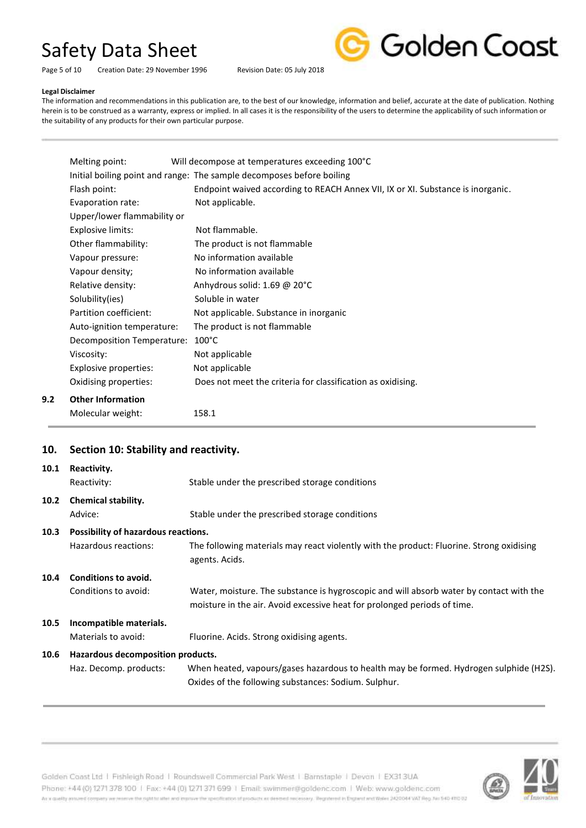Page 5 of 10 Creation Date: 29 November 1996 Revision Date: 05 July 2018



#### **Legal Disclaimer**

**9.2 Other Information**

The information and recommendations in this publication are, to the best of our knowledge, information and belief, accurate at the date of publication. Nothing herein is to be construed as a warranty, express or implied. In all cases it is the responsibility of the users to determine the applicability of such information or the suitability of any products for their own particular purpose.

| Melting point:              | Will decompose at temperatures exceeding 100°C                                  |
|-----------------------------|---------------------------------------------------------------------------------|
|                             | Initial boiling point and range: The sample decomposes before boiling           |
| Flash point:                | Endpoint waived according to REACH Annex VII, IX or XI. Substance is inorganic. |
| Evaporation rate:           | Not applicable.                                                                 |
| Upper/lower flammability or |                                                                                 |
| Explosive limits:           | Not flammable.                                                                  |
| Other flammability:         | The product is not flammable                                                    |
| Vapour pressure:            | No information available                                                        |
| Vapour density;             | No information available                                                        |
| Relative density:           | Anhydrous solid: 1.69 @ 20°C                                                    |
| Solubility(ies)             | Soluble in water                                                                |
| Partition coefficient:      | Not applicable. Substance in inorganic                                          |
| Auto-ignition temperature:  | The product is not flammable                                                    |
| Decomposition Temperature:  | $100^{\circ}$ C                                                                 |
| Viscosity:                  | Not applicable                                                                  |
| Explosive properties:       | Not applicable                                                                  |
| Oxidising properties:       | Does not meet the criteria for classification as oxidising.                     |
| <b>Other Information</b>    |                                                                                 |
| Molecular weight:           | 158.1                                                                           |

## **10. Section 10: Stability and reactivity.**

| 10.1              | Reactivity.<br>Reactivity:          | Stable under the prescribed storage conditions                                                                                                                      |
|-------------------|-------------------------------------|---------------------------------------------------------------------------------------------------------------------------------------------------------------------|
| 10.2 <sub>1</sub> | <b>Chemical stability.</b>          |                                                                                                                                                                     |
|                   | Advice:                             | Stable under the prescribed storage conditions                                                                                                                      |
| 10.3              | Possibility of hazardous reactions. |                                                                                                                                                                     |
|                   | Hazardous reactions:                | The following materials may react violently with the product: Fluorine. Strong oxidising<br>agents. Acids.                                                          |
| 10.4              | Conditions to avoid.                |                                                                                                                                                                     |
|                   | Conditions to avoid:                | Water, moisture. The substance is hygroscopic and will absorb water by contact with the<br>moisture in the air. Avoid excessive heat for prolonged periods of time. |
| 10.5              | Incompatible materials.             |                                                                                                                                                                     |
|                   | Materials to avoid:                 | Fluorine. Acids. Strong oxidising agents.                                                                                                                           |
| 10.6              | Hazardous decomposition products.   |                                                                                                                                                                     |
|                   | Haz. Decomp. products:              | When heated, vapours/gases hazardous to health may be formed. Hydrogen sulphide (H2S).<br>Oxides of the following substances: Sodium. Sulphur.                      |



Golden Coast Ltd | Fishleigh Road | Roundswell Commercial Park West | Barnstaple | Devon | EX313UA Phone: +44 (0) 1271 378 100 | Fax: +44 (0) 1271 371 699 | Email: swimmer@goldenc.com | Web: www.goldenc.com As a quality entured company we reserve the right to after and enpiric the specification of products as determination processy. Registered in Engines and Wales (AQDO44 VAT Reg. Jac 540-410 D)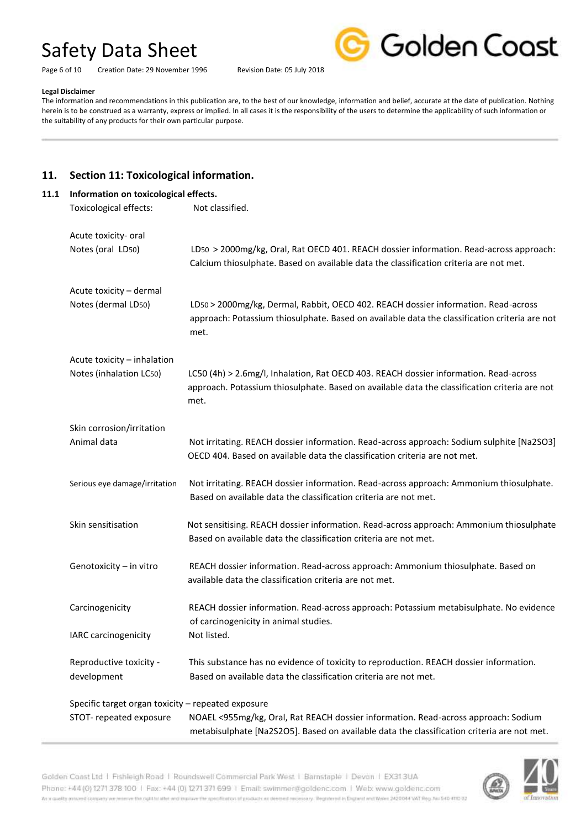Page 6 of 10 Creation Date: 29 November 1996 Revision Date: 05 July 2018



#### **Legal Disclaimer**

The information and recommendations in this publication are, to the best of our knowledge, information and belief, accurate at the date of publication. Nothing herein is to be construed as a warranty, express or implied. In all cases it is the responsibility of the users to determine the applicability of such information or the suitability of any products for their own particular purpose.

## **11. Section 11: Toxicological information.**

| Information on toxicological effects.              |                                                                                                                                                                                                |
|----------------------------------------------------|------------------------------------------------------------------------------------------------------------------------------------------------------------------------------------------------|
| Toxicological effects:                             | Not classified.                                                                                                                                                                                |
| Acute toxicity- oral                               |                                                                                                                                                                                                |
| Notes (oral LD50)                                  | LD50 > 2000mg/kg, Oral, Rat OECD 401. REACH dossier information. Read-across approach:<br>Calcium thiosulphate. Based on available data the classification criteria are not met.               |
| Acute toxicity - dermal                            |                                                                                                                                                                                                |
| Notes (dermal LD50)                                | LD50 > 2000mg/kg, Dermal, Rabbit, OECD 402. REACH dossier information. Read-across<br>approach: Potassium thiosulphate. Based on available data the classification criteria are not<br>met.    |
| Acute toxicity - inhalation                        |                                                                                                                                                                                                |
| Notes (inhalation LC50)                            | LC50 (4h) > 2.6mg/l, Inhalation, Rat OECD 403. REACH dossier information. Read-across<br>approach. Potassium thiosulphate. Based on available data the classification criteria are not<br>met. |
| Skin corrosion/irritation                          |                                                                                                                                                                                                |
| Animal data                                        | Not irritating. REACH dossier information. Read-across approach: Sodium sulphite [Na2SO3]<br>OECD 404. Based on available data the classification criteria are not met.                        |
| Serious eye damage/irritation                      | Not irritating. REACH dossier information. Read-across approach: Ammonium thiosulphate.                                                                                                        |
|                                                    | Based on available data the classification criteria are not met.                                                                                                                               |
| Skin sensitisation                                 | Not sensitising. REACH dossier information. Read-across approach: Ammonium thiosulphate<br>Based on available data the classification criteria are not met.                                    |
| Genotoxicity - in vitro                            | REACH dossier information. Read-across approach: Ammonium thiosulphate. Based on<br>available data the classification criteria are not met.                                                    |
| Carcinogenicity                                    | REACH dossier information. Read-across approach: Potassium metabisulphate. No evidence                                                                                                         |
| IARC carcinogenicity                               | of carcinogenicity in animal studies.<br>Not listed.                                                                                                                                           |
| Reproductive toxicity -                            | This substance has no evidence of toxicity to reproduction. REACH dossier information.                                                                                                         |
| development                                        | Based on available data the classification criteria are not met.                                                                                                                               |
| Specific target organ toxicity - repeated exposure |                                                                                                                                                                                                |
| STOT- repeated exposure                            | NOAEL <955mg/kg, Oral, Rat REACH dossier information. Read-across approach: Sodium                                                                                                             |
|                                                    | metabisulphate [Na2S2O5]. Based on available data the classification criteria are not met.                                                                                                     |



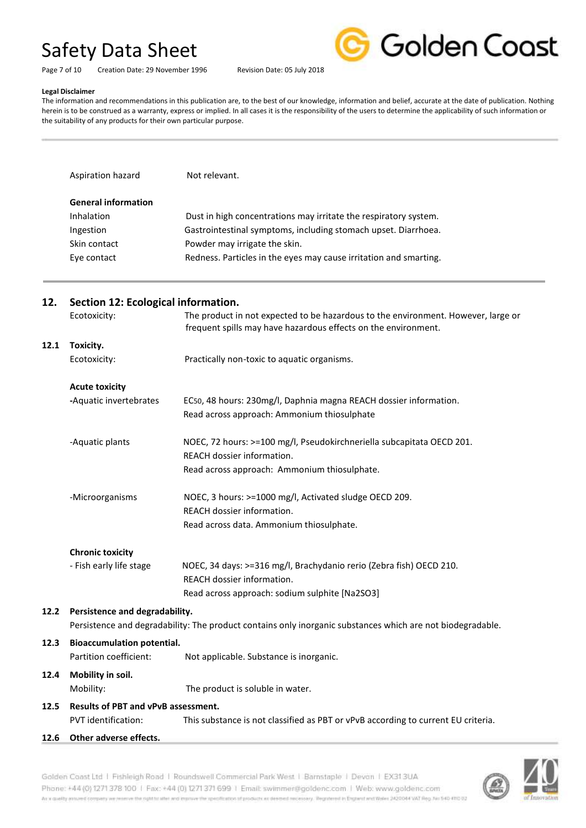Page 7 of 10 Creation Date: 29 November 1996 Revision Date: 05 July 2018



#### **Legal Disclaimer**

The information and recommendations in this publication are, to the best of our knowledge, information and belief, accurate at the date of publication. Nothing herein is to be construed as a warranty, express or implied. In all cases it is the responsibility of the users to determine the applicability of such information or the suitability of any products for their own particular purpose.

| Aspiration hazard          | Not relevant.                                                     |
|----------------------------|-------------------------------------------------------------------|
|                            |                                                                   |
| <b>General information</b> |                                                                   |
| Inhalation                 | Dust in high concentrations may irritate the respiratory system.  |
| Ingestion                  | Gastrointestinal symptoms, including stomach upset. Diarrhoea.    |
| Skin contact               | Powder may irrigate the skin.                                     |
| Eye contact                | Redness. Particles in the eyes may cause irritation and smarting. |

| 12.  | Section 12: Ecological information. |                                                                                                                                                     |  |
|------|-------------------------------------|-----------------------------------------------------------------------------------------------------------------------------------------------------|--|
|      | Ecotoxicity:                        | The product in not expected to be hazardous to the environment. However, large or<br>frequent spills may have hazardous effects on the environment. |  |
| 12.1 | Toxicity.                           |                                                                                                                                                     |  |
|      | Ecotoxicity:                        | Practically non-toxic to aquatic organisms.                                                                                                         |  |
|      | <b>Acute toxicity</b>               |                                                                                                                                                     |  |
|      | -Aquatic invertebrates              | EC50, 48 hours: 230mg/l, Daphnia magna REACH dossier information.                                                                                   |  |
|      |                                     | Read across approach: Ammonium thiosulphate                                                                                                         |  |
|      | -Aquatic plants                     | NOEC, 72 hours: >=100 mg/l, Pseudokirchneriella subcapitata OECD 201.                                                                               |  |
|      |                                     | REACH dossier information.                                                                                                                          |  |
|      |                                     | Read across approach: Ammonium thiosulphate.                                                                                                        |  |
|      | -Microorganisms                     | NOEC, 3 hours: >=1000 mg/l, Activated sludge OECD 209.                                                                                              |  |
|      |                                     | REACH dossier information.                                                                                                                          |  |
|      |                                     | Read across data. Ammonium thiosulphate.                                                                                                            |  |
|      | <b>Chronic toxicity</b>             |                                                                                                                                                     |  |
|      | - Fish early life stage             | NOEC, 34 days: >=316 mg/l, Brachydanio rerio (Zebra fish) OECD 210.                                                                                 |  |
|      |                                     | REACH dossier information.                                                                                                                          |  |
|      |                                     | Read across approach: sodium sulphite [Na2SO3]                                                                                                      |  |
| 12.2 | Persistence and degradability.      |                                                                                                                                                     |  |
|      |                                     | Persistence and degradability: The product contains only inorganic substances which are not biodegradable.                                          |  |
| 12.3 | <b>Bioaccumulation potential.</b>   |                                                                                                                                                     |  |
|      | Partition coefficient:              | Not applicable. Substance is inorganic.                                                                                                             |  |
| 12.4 | Mobility in soil.                   |                                                                                                                                                     |  |
|      | Mobility:                           | The product is soluble in water.                                                                                                                    |  |
| 12.5 | Results of PBT and vPvB assessment. |                                                                                                                                                     |  |
|      | PVT identification:                 | This substance is not classified as PBT or vPvB according to current EU criteria.                                                                   |  |
| 12.6 | Other adverse effects.              |                                                                                                                                                     |  |
|      |                                     |                                                                                                                                                     |  |

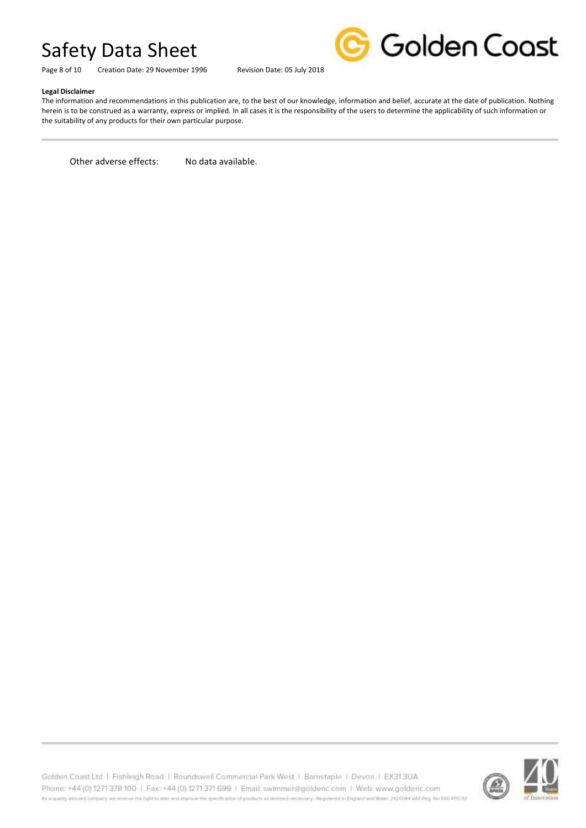Page 8 of 10 Creation Date: 29 November 1996 Revision Date: 05 July 2018



#### **Legal Disclaimer**

The information and recommendations in this publication are, to the best of our knowledge, information and belief, accurate at the date of publication. Nothing herein is to be construed as a warranty, express or implied. In all cases it is the responsibility of the users to determine the applicability of such information or the suitability of any products for their own particular purpose.

Other adverse effects: No data available.

Golden Coast Ltd | Fishleigh Road | Roundswell Commercial Park West | Barnstaple | Devon | EX313UA Phone: +44 (0) 1271 378 100 | Fax: +44 (0) 1271 371 699 | Email: swimmer@goldenc.com | Web: www.goldenc.com As a quality entured company we reserve the right to after and enpiric the specification of products as determination processy. Registered in Engines and Wales (AQDO44 VAT Reg. Jac 540-410 D)

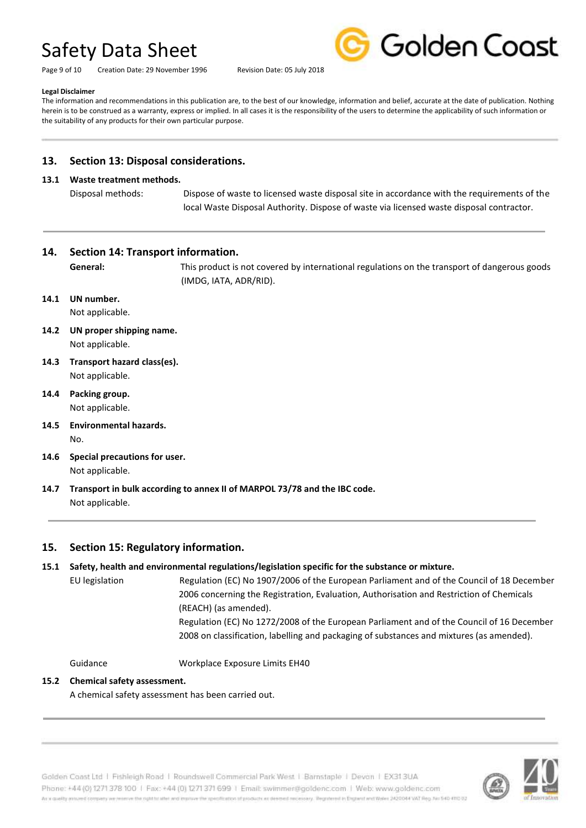Page 9 of 10 Creation Date: 29 November 1996 Revision Date: 05 July 2018



#### **Legal Disclaimer**

The information and recommendations in this publication are, to the best of our knowledge, information and belief, accurate at the date of publication. Nothing herein is to be construed as a warranty, express or implied. In all cases it is the responsibility of the users to determine the applicability of such information or the suitability of any products for their own particular purpose.

## **13. Section 13: Disposal considerations.**

#### **13.1 Waste treatment methods.**

Disposal methods: Dispose of waste to licensed waste disposal site in accordance with the requirements of the local Waste Disposal Authority. Dispose of waste via licensed waste disposal contractor.

## **14. Section 14: Transport information.**

**General:** This product is not covered by international regulations on the transport of dangerous goods (IMDG, IATA, ADR/RID).

**14.1 UN number.**

Not applicable.

- **14.2 UN proper shipping name.** Not applicable.
- **14.3 Transport hazard class(es).** Not applicable.
- **14.4 Packing group.** Not applicable.
- **14.5 Environmental hazards.** No.
- **14.6 Special precautions for user.** Not applicable.
- **14.7 Transport in bulk according to annex II of MARPOL 73/78 and the IBC code.** Not applicable.

## **15. Section 15: Regulatory information.**

## **15.1 Safety, health and environmental regulations/legislation specific for the substance or mixture.**

EU legislation Regulation (EC) No 1907/2006 of the European Parliament and of the Council of 18 December 2006 concerning the Registration, Evaluation, Authorisation and Restriction of Chemicals (REACH) (as amended).

> Regulation (EC) No 1272/2008 of the European Parliament and of the Council of 16 December 2008 on classification, labelling and packaging of substances and mixtures (as amended).

Guidance Workplace Exposure Limits EH40

## **15.2 Chemical safety assessment.**

A chemical safety assessment has been carried out.